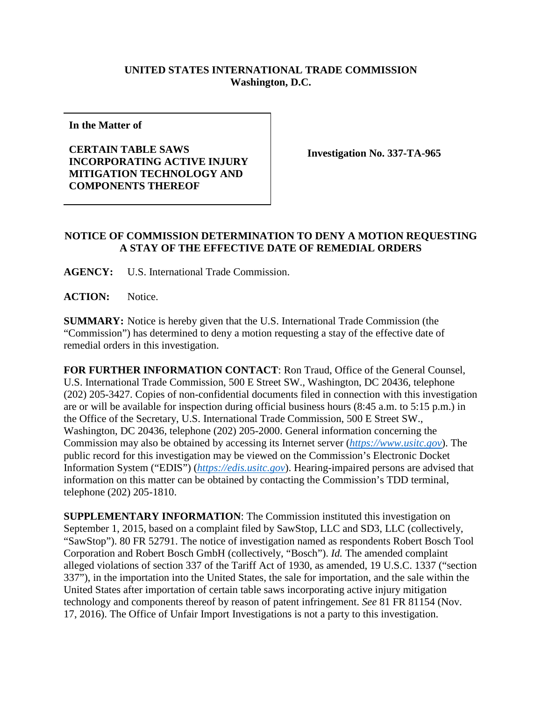## **UNITED STATES INTERNATIONAL TRADE COMMISSION Washington, D.C.**

**In the Matter of**

**CERTAIN TABLE SAWS INCORPORATING ACTIVE INJURY MITIGATION TECHNOLOGY AND COMPONENTS THEREOF**

**Investigation No. 337-TA-965**

## **NOTICE OF COMMISSION DETERMINATION TO DENY A MOTION REQUESTING A STAY OF THE EFFECTIVE DATE OF REMEDIAL ORDERS**

**AGENCY:** U.S. International Trade Commission.

**ACTION:** Notice.

**SUMMARY:** Notice is hereby given that the U.S. International Trade Commission (the "Commission") has determined to deny a motion requesting a stay of the effective date of remedial orders in this investigation.

**FOR FURTHER INFORMATION CONTACT**: Ron Traud, Office of the General Counsel, U.S. International Trade Commission, 500 E Street SW., Washington, DC 20436, telephone (202) 205-3427. Copies of non-confidential documents filed in connection with this investigation are or will be available for inspection during official business hours (8:45 a.m. to 5:15 p.m.) in the Office of the Secretary, U.S. International Trade Commission, 500 E Street SW., Washington, DC 20436, telephone (202) 205-2000. General information concerning the Commission may also be obtained by accessing its Internet server (*[https://www.usitc.gov](https://www.usitc.gov/)*). The public record for this investigation may be viewed on the Commission's Electronic Docket Information System ("EDIS") (*[https://edis.usitc.gov](https://edis.usitc.gov/)*). Hearing-impaired persons are advised that information on this matter can be obtained by contacting the Commission's TDD terminal, telephone (202) 205-1810.

**SUPPLEMENTARY INFORMATION**: The Commission instituted this investigation on September 1, 2015, based on a complaint filed by SawStop, LLC and SD3, LLC (collectively, "SawStop"). 80 FR 52791. The notice of investigation named as respondents Robert Bosch Tool Corporation and Robert Bosch GmbH (collectively, "Bosch"). *Id.* The amended complaint alleged violations of section 337 of the Tariff Act of 1930, as amended, 19 U.S.C. 1337 ("section 337"), in the importation into the United States, the sale for importation, and the sale within the United States after importation of certain table saws incorporating active injury mitigation technology and components thereof by reason of patent infringement. *See* 81 FR 81154 (Nov. 17, 2016). The Office of Unfair Import Investigations is not a party to this investigation.